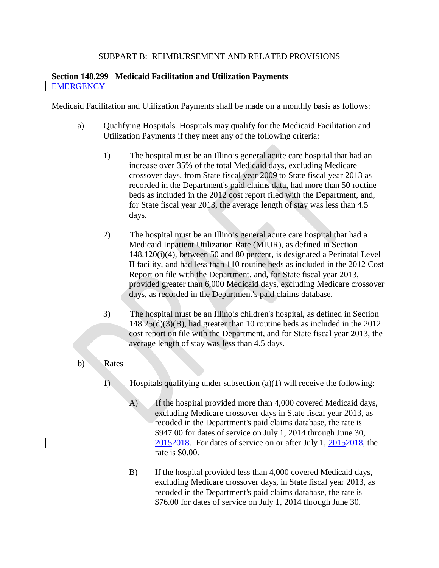## SUBPART B: REIMBURSEMENT AND RELATED PROVISIONS

## **Section 148.299 Medicaid Facilitation and Utilization Payments EMERGENCY**

Medicaid Facilitation and Utilization Payments shall be made on a monthly basis as follows:

- a) Qualifying Hospitals. Hospitals may qualify for the Medicaid Facilitation and Utilization Payments if they meet any of the following criteria:
	- 1) The hospital must be an Illinois general acute care hospital that had an increase over 35% of the total Medicaid days, excluding Medicare crossover days, from State fiscal year 2009 to State fiscal year 2013 as recorded in the Department's paid claims data, had more than 50 routine beds as included in the 2012 cost report filed with the Department, and, for State fiscal year 2013, the average length of stay was less than 4.5 days.
	- 2) The hospital must be an Illinois general acute care hospital that had a Medicaid Inpatient Utilization Rate (MIUR), as defined in Section 148.120(i)(4), between 50 and 80 percent, is designated a Perinatal Level II facility, and had less than 110 routine beds as included in the 2012 Cost Report on file with the Department, and, for State fiscal year 2013, provided greater than 6,000 Medicaid days, excluding Medicare crossover days, as recorded in the Department's paid claims database.
	- 3) The hospital must be an Illinois children's hospital, as defined in Section  $148.25(d)(3)(B)$ , had greater than 10 routine beds as included in the 2012 cost report on file with the Department, and for State fiscal year 2013, the average length of stay was less than 4.5 days.
- b) Rates
	- 1) Hospitals qualifying under subsection (a)(1) will receive the following:
		- A) If the hospital provided more than 4,000 covered Medicaid days, excluding Medicare crossover days in State fiscal year 2013, as recoded in the Department's paid claims database, the rate is \$947.00 for dates of service on July 1, 2014 through June 30, 20152018. For dates of service on or after July 1, 20152018, the rate is \$0.00.
		- B) If the hospital provided less than 4,000 covered Medicaid days, excluding Medicare crossover days, in State fiscal year 2013, as recoded in the Department's paid claims database, the rate is \$76.00 for dates of service on July 1, 2014 through June 30,